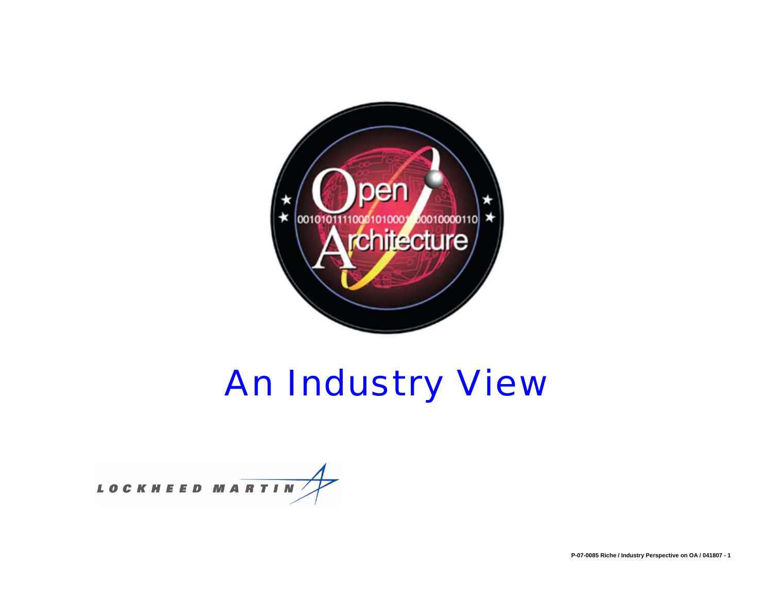

# *An Industry View*

**LOCKHEED MARTIN**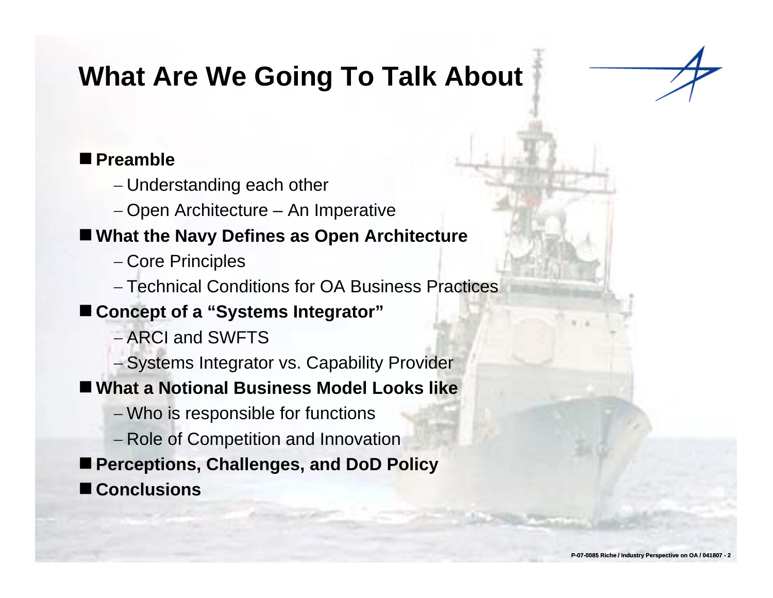# **What Are We Going To Talk About**

### ■ Preamble

- − Understanding each other
- − Open Architecture An Imperative

### **What the Navy Defines as Open Architecture**

- − Core Principles
- − Technical Conditions for OA Business Practices

### **Concept of a "Systems Integrator"**

- − ARCI and SWFTS
- Systems Integrator vs. Capability Provider

### ■ What a Notional Business Model Looks like

- − Who is responsible for functions
- − Role of Competition and Innovation
- Perceptions, Challenges, and DoD Policy
- **Conclusions**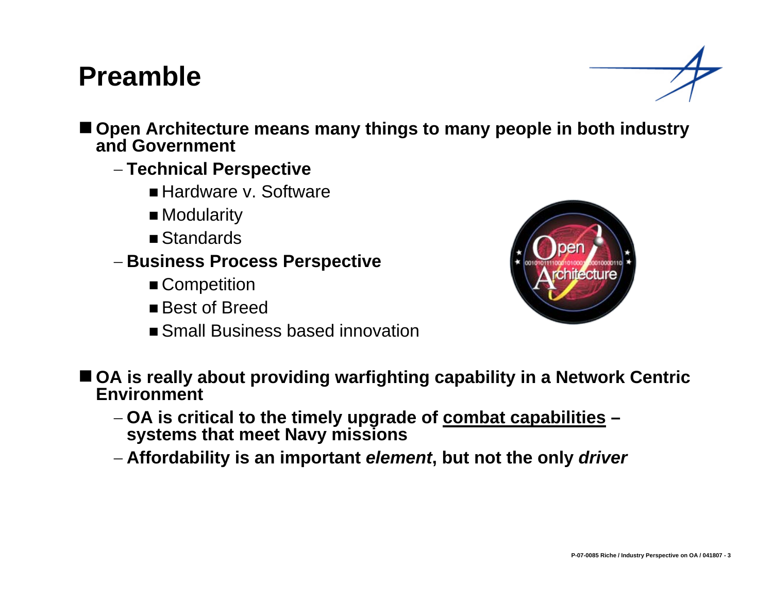### **Preamble**



■ Open Architecture means many things to many people in both industry **and Government**

- − **Technical Perspective**
	- Hardware v. Software
	- Modularity
	- Standards
- − **Business Process Perspective**
	- Competition
	- Best of Breed
	- Small Business based innovation



- OA is really about providing warfighting capability in a Network Centric **Environment**
	- − **OA is critical to the timely upgrade of combat capabilities systems that meet Navy missions**
	- − **Affordability is an important** *element***, but not the only** *driver*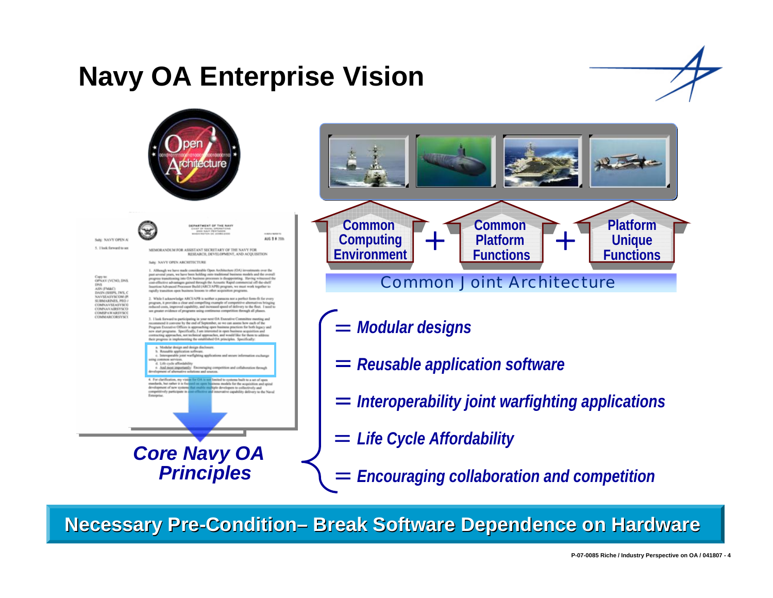# **Navy OA Enterprise Vision**

ALC: N. B. 1004





**ERARTMENT OF THE NAV** 

SALE NAVY OPEN A 5. Thick forward to so

MEMORANDEM FOR ASSISTANT SECRETARY OF THE NAVY FOR RESEARCH, DEVELOPMENT, AND ACOUSTION

66: NAVY OPEN ARCHITECTURE

OPNAY (VCNO, DNS ASN (FM&C) **DARN GREEN TANK O** NAVSEASYSCOM ( COMPANYEE AS VECT COMNAVAIRSYSCO **COMMARCORSYSC** 

.<br>past account passe, we have made considerable Open Architecture (OA) investments over the<br>past account passe, we have been holding com enablement business models and the ownerd<br>progress transitioning into OA business pro a effective advantages gained fleough the Azeustic Rapid commercial off-the-shelf more Build (ARCEAPR) program, we must work topol tion cause beginned features to cabor acceptables personal

2. While I acknowledge ARCEAPB is neither a passons not a perfect form fit for every<br>program, it provides a clear and compelling example of competitive alternatives beinging<br>veduced costs, improved capability, and increase nee of programs using continuous competition through all ph

1. I look forward to participating in your pest OA Executive Cor both forward to partner pair and of September, so the contract occurrent assets and the measure of the contract of the contract of the state of the state of the contract of the state of the state of the state of the state

Modular design and design disclosure Reusable application software.<br>Interoperable joint warfighting applications and secure inform **MAN APRICES** d. Life cycle affordabile

And most importantly: Encouraging competition and collabor of alternative solutions and sources.

cherification, my vision for OA is not limited to systems built to a set of open<br>els, but nature it is the said on open business models for the acquisition and spiral<br>pment of new systems that enable madigle developers to vative capability delivery to the

*Core Navy OA Principles*



#### Common Joint Architecture

- =*Modular designs*
- = *Reusable application software*
- = *Interoperability joint warfighting applications*
- = *Life Cycle Affordability*

=*Encouraging collaboration and competition*

**Necessary Pre-Condition– Break Software Dependence on Hardware**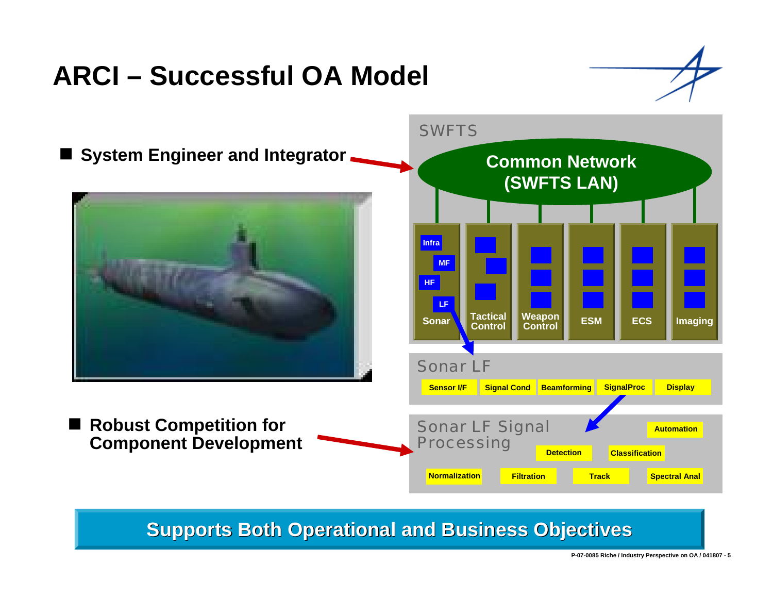# **ARCI – Successful OA Model**



### **Supports Both Operational and Business Objectives**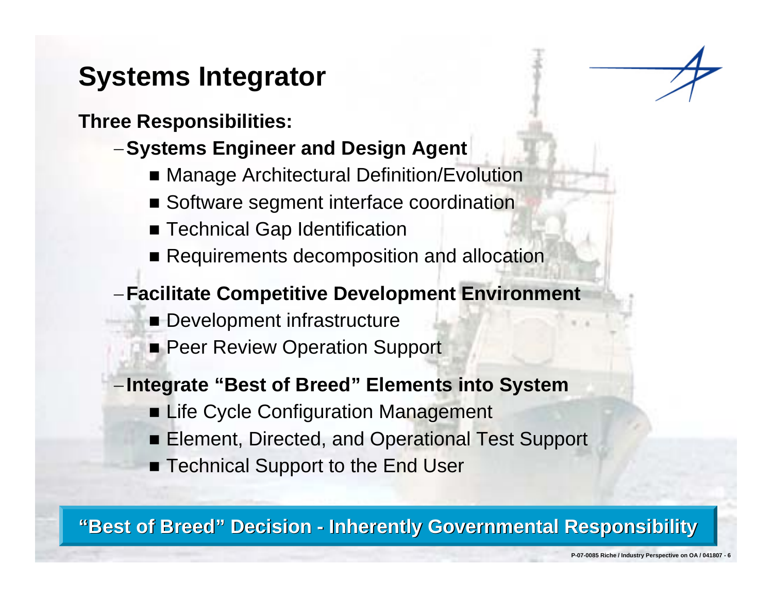# **Systems Integrator**

**Three Responsibilities:**

- <sup>−</sup>**Systems Engineer and Design Agent**
	- Manage Architectural Definition/Evolution
	- **Software segment interface coordination**
	- Technical Gap Identification
	- Requirements decomposition and allocation

### <sup>−</sup>**Facilitate Competitive Development Environment**

- **Development infrastructure**
- **Peer Review Operation Support**

### <sup>−</sup>**Integrate "Best of Breed" Elements into System**

- **ELife Cycle Configuration Management**
- **Element, Directed, and Operational Test Support**
- Technical Support to the End User

"Best of Breed" Decision - Inherently Governmental Responsibility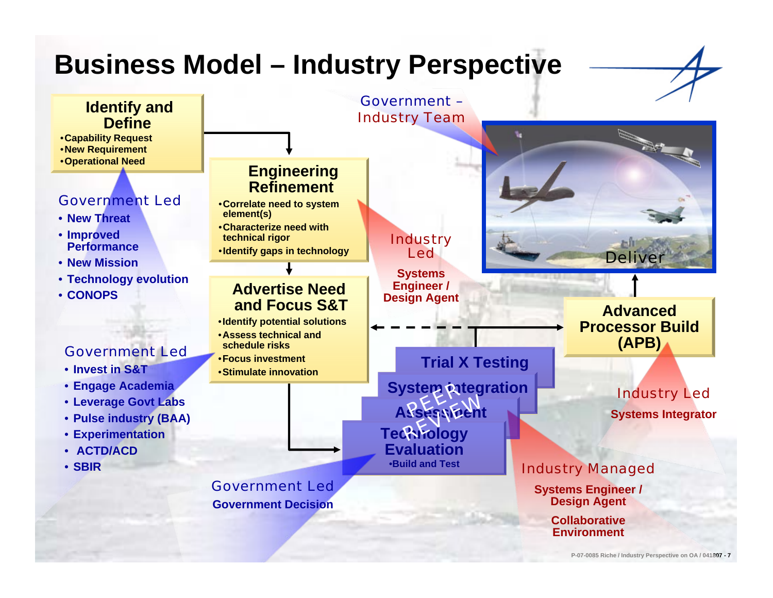## **Business Model – Industry Perspective**

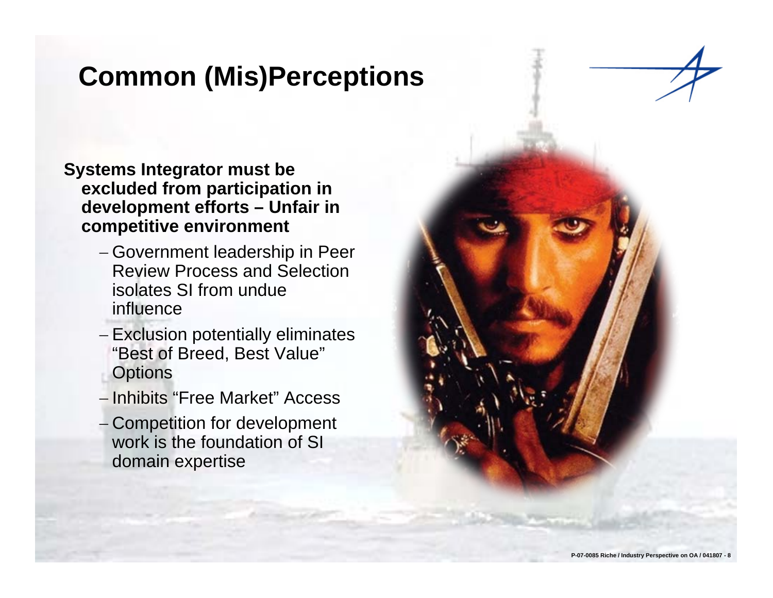# **Common (Mis)Perceptions**

- **Systems Integrator must be excluded from participation in development efforts – Unfair in competitive environment**
	- − Government leadership in Peer Review Process and Selection isolates SI from undue influence
	- − Exclusion potentially eliminates "Best of Breed, Best Value" **Options**
	- − Inhibits "Free Market" Access
	- − Competition for development work is the foundation of SI domain expertise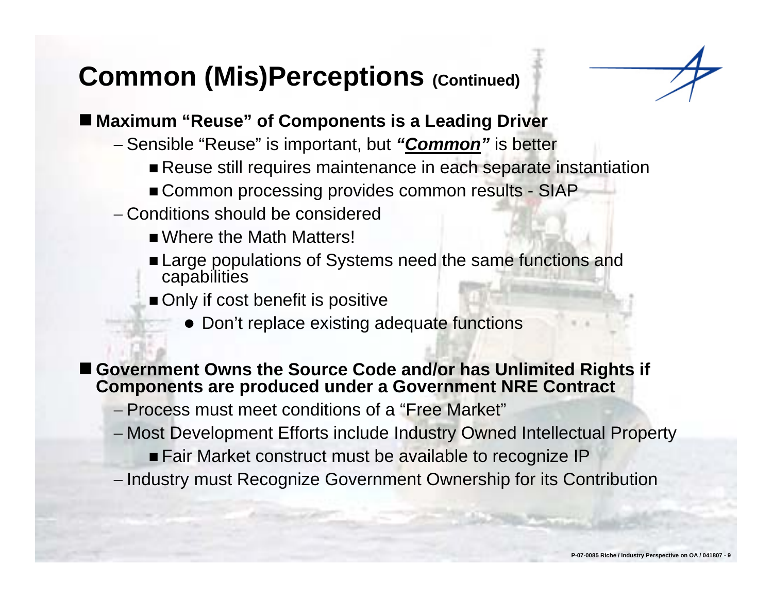## **Common (Mis)Perceptions (Continued)**



### ■ Maximum "Reuse" of Components is a Leading Driver

- − Sensible "Reuse" is important, but *"Common"* is better
	- Reuse still requires maintenance in each separate instantiation
	- Common processing provides common results SIAP
- − Conditions should be considered
	- Where the Math Matters!
	- **Large populations of Systems need the same functions and** capabilities
	- Only if cost benefit is positive
		- Don't replace existing adequate functions

#### ■ Government Owns the Source Code and/or has Unlimited Rights if **Components are produced under a Government NRE Contract**

- − Process must meet conditions of a "Free Market"
- − Most Development Efforts include Industry Owned Intellectual Property
	- **Fair Market construct must be available to recognize IP**
- Industry must Recognize Government Ownership for its Contribution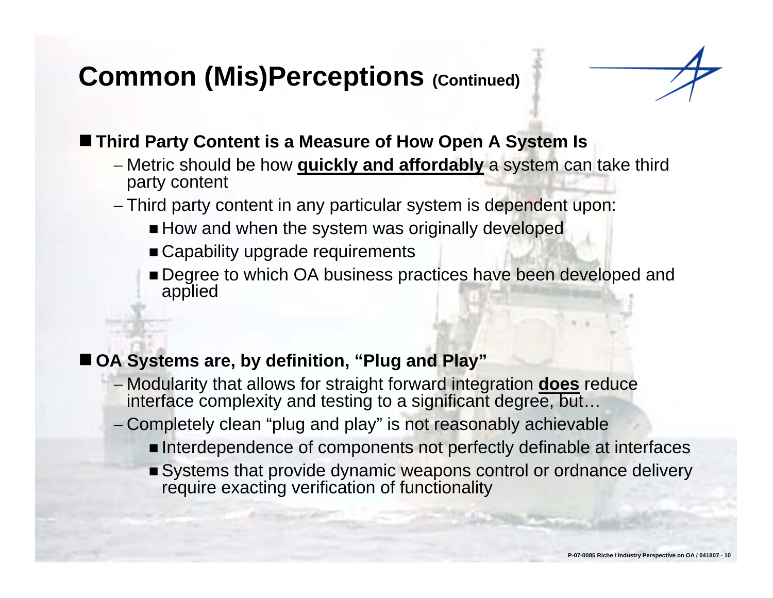# **Common (Mis)Perceptions (Continued)**



### ■ Third Party Content is a Measure of How Open A System Is

- − Metric should be how **quickly and affordably** a system can take third party content
- − Third party content in any particular system is dependent upon:
	- How and when the system was originally developed
	- Capability upgrade requirements
	- **Degree to which OA business practices have been developed and** applied

### ■ OA Systems are, by definition, "Plug and Play"

- − Modularity that allows for straight forward integration **does** reduce interface complexity and testing to a significant degree, but...
- Completely clean "plug and play" is not reasonably achievable
	- **Interdependence of components not perfectly definable at interfaces**
	- Systems that provide dynamic weapons control or ordnance delivery require exacting verification of functionality